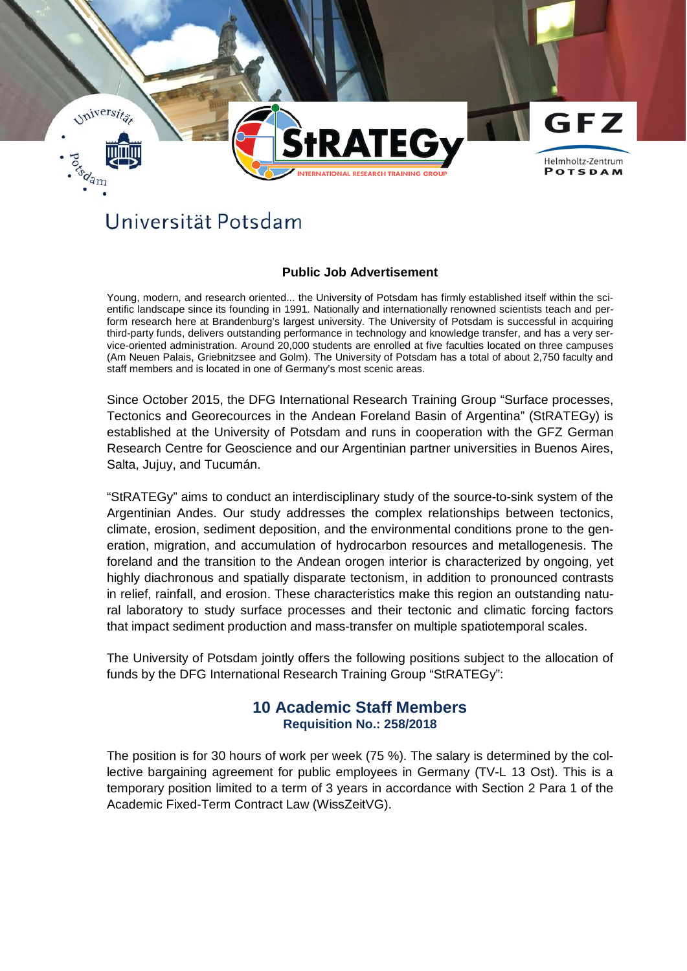

## Universität Potsdam

## **Public Job Advertisement**

Young, modern, and research oriented... the University of Potsdam has firmly established itself within the scientific landscape since its founding in 1991. Nationally and internationally renowned scientists teach and perform research here at Brandenburg's largest university. The University of Potsdam is successful in acquiring third-party funds, delivers outstanding performance in technology and knowledge transfer, and has a very service-oriented administration. Around 20,000 students are enrolled at five faculties located on three campuses (Am Neuen Palais, Griebnitzsee and Golm). The University of Potsdam has a total of about 2,750 faculty and staff members and is located in one of Germany's most scenic areas.

Since October 2015, the DFG International Research Training Group "Surface processes, Tectonics and Georecources in the Andean Foreland Basin of Argentina" (StRATEGy) is established at the University of Potsdam and runs in cooperation with the GFZ German Research Centre for Geoscience and our Argentinian partner universities in Buenos Aires, Salta, Jujuy, and Tucumán.

"StRATEGy" aims to conduct an interdisciplinary study of the source-to-sink system of the Argentinian Andes. Our study addresses the complex relationships between tectonics, climate, erosion, sediment deposition, and the environmental conditions prone to the generation, migration, and accumulation of hydrocarbon resources and metallogenesis. The foreland and the transition to the Andean orogen interior is characterized by ongoing, yet highly diachronous and spatially disparate tectonism, in addition to pronounced contrasts in relief, rainfall, and erosion. These characteristics make this region an outstanding natural laboratory to study surface processes and their tectonic and climatic forcing factors that impact sediment production and mass-transfer on multiple spatiotemporal scales.

The University of Potsdam jointly offers the following positions subject to the allocation of funds by the DFG International Research Training Group "StRATEGy":

## **10 Academic Staff Members Requisition No.: 258/2018**

The position is for 30 hours of work per week (75 %). The salary is determined by the collective bargaining agreement for public employees in Germany (TV-L 13 Ost). This is a temporary position limited to a term of 3 years in accordance with Section 2 Para 1 of the Academic Fixed-Term Contract Law (WissZeitVG).